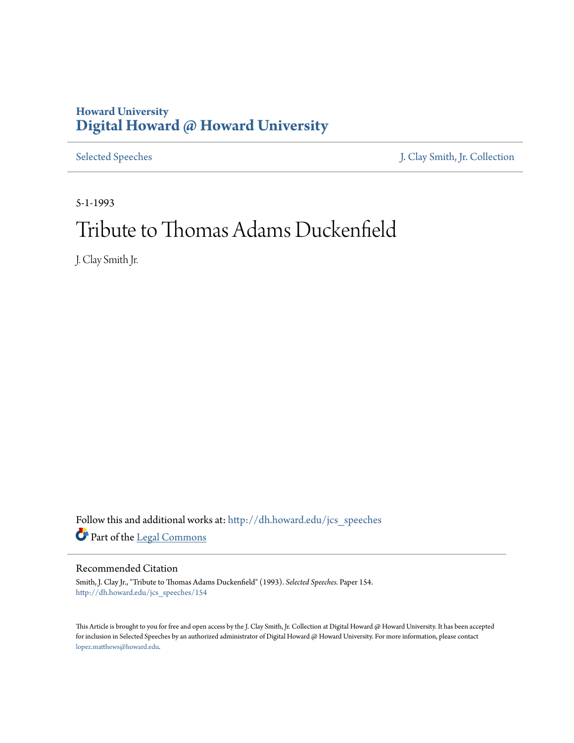## **Howard University [Digital Howard @ Howard University](http://dh.howard.edu?utm_source=dh.howard.edu%2Fjcs_speeches%2F154&utm_medium=PDF&utm_campaign=PDFCoverPages)**

[Selected Speeches](http://dh.howard.edu/jcs_speeches?utm_source=dh.howard.edu%2Fjcs_speeches%2F154&utm_medium=PDF&utm_campaign=PDFCoverPages) [J. Clay Smith, Jr. Collection](http://dh.howard.edu/jcsmith?utm_source=dh.howard.edu%2Fjcs_speeches%2F154&utm_medium=PDF&utm_campaign=PDFCoverPages)

5-1-1993

## Tribute to Thomas Adams Duckenfield

J. Clay Smith Jr.

Follow this and additional works at: [http://dh.howard.edu/jcs\\_speeches](http://dh.howard.edu/jcs_speeches?utm_source=dh.howard.edu%2Fjcs_speeches%2F154&utm_medium=PDF&utm_campaign=PDFCoverPages) Part of the [Legal Commons](http://network.bepress.com/hgg/discipline/502?utm_source=dh.howard.edu%2Fjcs_speeches%2F154&utm_medium=PDF&utm_campaign=PDFCoverPages)

Recommended Citation

Smith, J. Clay Jr., "Tribute to Thomas Adams Duckenfield" (1993). *Selected Speeches.* Paper 154. [http://dh.howard.edu/jcs\\_speeches/154](http://dh.howard.edu/jcs_speeches/154?utm_source=dh.howard.edu%2Fjcs_speeches%2F154&utm_medium=PDF&utm_campaign=PDFCoverPages)

This Article is brought to you for free and open access by the J. Clay Smith, Jr. Collection at Digital Howard @ Howard University. It has been accepted for inclusion in Selected Speeches by an authorized administrator of Digital Howard @ Howard University. For more information, please contact [lopez.matthews@howard.edu.](mailto:lopez.matthews@howard.edu)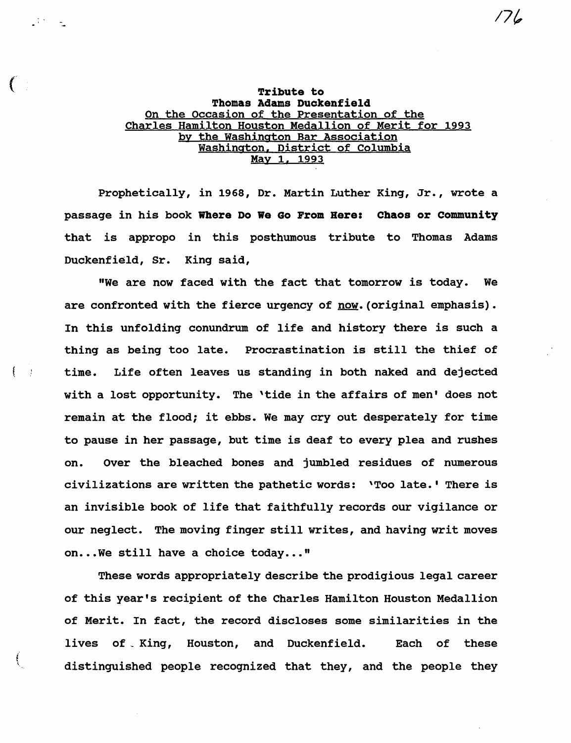## (international contract of  $\mathbb{R}^n$  and  $\mathbb{R}^n$  are the set of  $\mathbb{R}^n$  and  $\mathbb{R}^n$  are the set of  $\mathbb{R}^n$  and  $\mathbb{R}^n$  are the set of  $\mathbb{R}^n$  and  $\mathbb{R}^n$  are the set of  $\mathbb{R}^n$  and  $\mathbb{R}^n$  are t Thomas Adams Duckenfield On the Occasion of the Presentation of the Charles Hamilton Houston Medallion of Merit for 1993 by the Washington Bar Association Washington. District of Columbia May 1. 1993

Prophetically, in 1968, Dr. Martin Luther King, Jr., wrote a passage in his book Where Do We Go From Rere: Chaos or community that is appropo in this posthumous tribute to Thomas Adams Duckenfield, Sr. King said,

"We are now faced with the fact that tomorrow is today. We are confronted with the fierce urgency of now. (original emphasis). In this unfolding conundrum of life and history there is such a thing as being too late. Procrastination is still the thief of time. Life often leaves us standing in both naked and dejected with a lost opportunity. The 'tide in the affairs of men' does not remain at the flood; it ebbs. We may cry out desperately for time to pause in her passage, but time is deaf to every plea and rushes on. Over the bleached bones and jumbled residues of numerous civilizations are written the pathetic words: 'Too late.' There is an invisible book of life that faithfully records our vigilance or our neglect. The moving finger still writes, and having writ moves on...We still have a choice today..."

 $\{-\}$ 

These words appropriately describe the prodigious legal career of this year's recipient of the Charles Hamilton Houston Medallion of Merit. In fact, the record discloses some similarities in the lives of King, Houston, and Duckenfield. Each of these distinguished people recognized that they, and the people they

*17(,*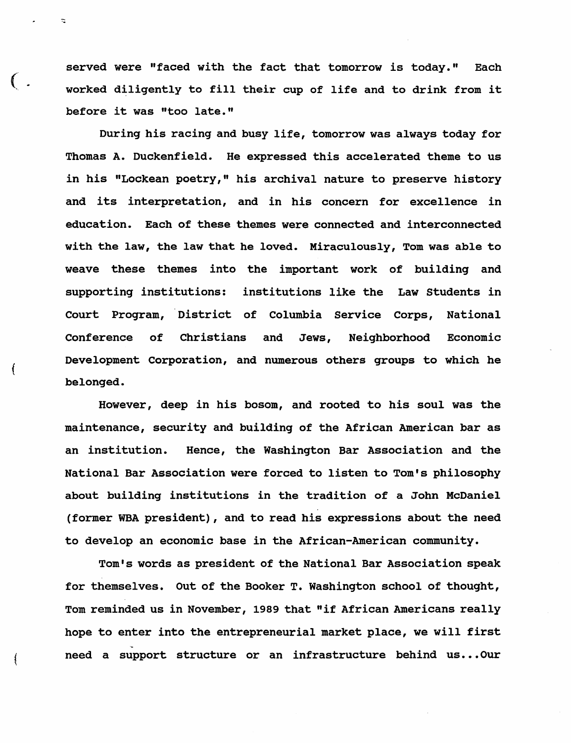served were "faced with the fact that tomorrow is today." Each worked diligently to fill their cup of life and to drink from it before it was "too late."

 $($  .

(

During his racing and busy life, tomorrow was always today for Thomas A. Duckenfield. He expressed this accelerated theme to us in his "Lockean poetry," his archival nature to preserve history and its interpretation, and in his concern for excellence in education. Each of these themes were connected and interconnected with the law, the law that he loved. Miraculously, Tom was able to weave these themes into the important work of building and supporting institutions: institutions like the Law Students in Court Program, District of Columbia Service Corps, National Conference of Christians and Jews, Neighborhood Economic Development corporation, and numerous others groups to which he belonged.

However, deep in his bosom, and rooted to his soul was the maintenance, security and building of the African American bar as an institution. Hence, the Washington Bar Association and the National Bar Association were forced to listen to Tom's philosophy about building institutions in the tradition of a John McDaniel (former WBA president), and to read his expressions about the need to develop an economic base in the African-American community.

Tom's words as president of the National Bar Association speak for themselves. Out of the Booker T. Washington school of thought, Tom reminded us in November, 1989 that "if African Americans really hope to enter into the entrepreneurial market place, we will first '~ need a support structure or an infrastructure behind us... Our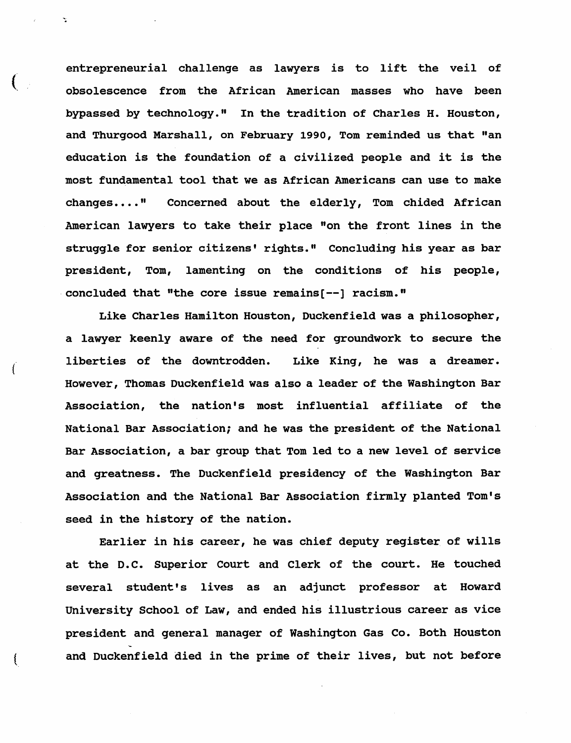entrepreneurial challenge as lawyers is to lift the veil of obsolescence from the African American masses who have been bypassed by technology." In the tradition of Charles H. Houston, and Thurgood Marshall, on February 1990, Tom reminded us that "an education is the foundation of a civilized people and it is the most fundamental tool that we as African Americans can use to make changes...." Concerned about the elderly, Tom chided African American lawyers to take their place "on the front lines in the struggle for senior citizens' rights." Concluding his year as bar president, Tom, lamenting on the conditions of his people, concluded that "the core issue remains $[-]$  racism."

Like Charles Hamilton Houston, Duckenfield was a philosopher, a lawyer keenly aware of the need for groundwork to secure the liberties of the downtrodden. Like King, he was a dreamer. However, Thomas Duckenfield was also a leader of the Washington Bar Association, the nation's most influential affiliate of the National Bar Association; and he was the president of the National Bar Association, a bar group that Tom led to a new level of service and greatness. The Duckenfield presidency of the Washington Bar Association and the National Bar Association firmly planted Tom's seed in the history of the nation.

Earlier in his career, he was chief deputy register of wills at the D.C. Superior Court and Clerk of the court. He touched several student's lives as an adjunct professor at Howard University School of Law, and ended his illustrious career as vice president and general manager of Washington Gas Co. Both Houston ( and Duckenfield died in the prime of their lives, but not before